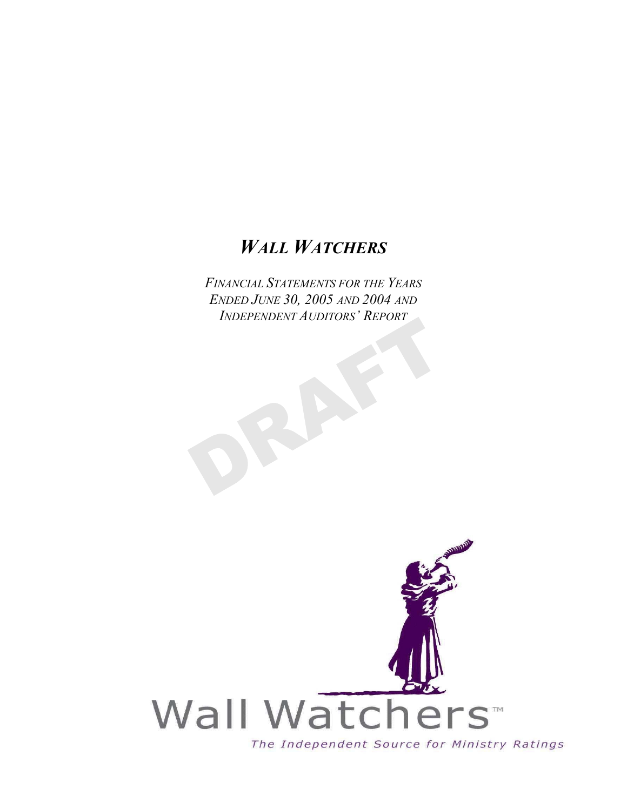# *WALL WATCHERS*

*FINANCIAL STATEMENTS FOR THE YEARS ENDED JUNE 30, 2005 AND 2004 AND INDEPENDENT AUDITORS' REPORT*

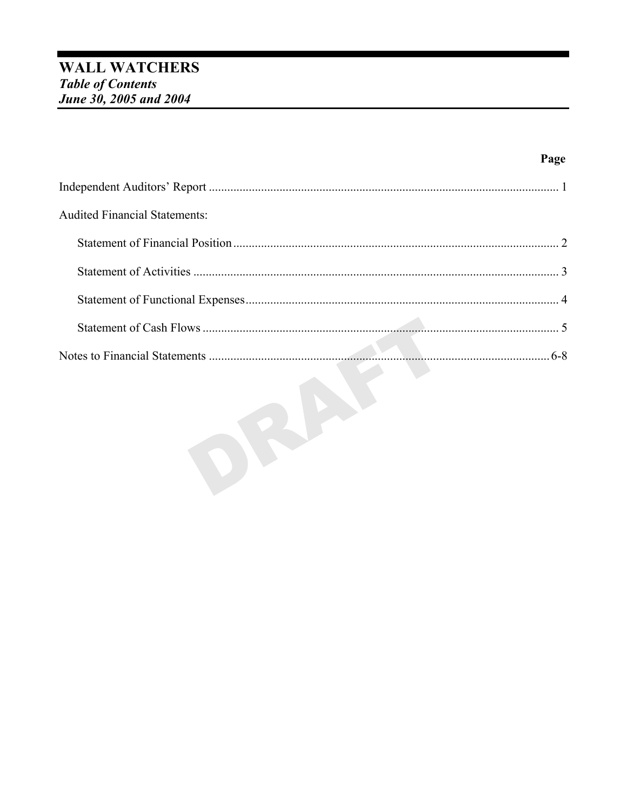| <b>Audited Financial Statements:</b> |  |
|--------------------------------------|--|
|                                      |  |
|                                      |  |
|                                      |  |
|                                      |  |
|                                      |  |

OBAN

Page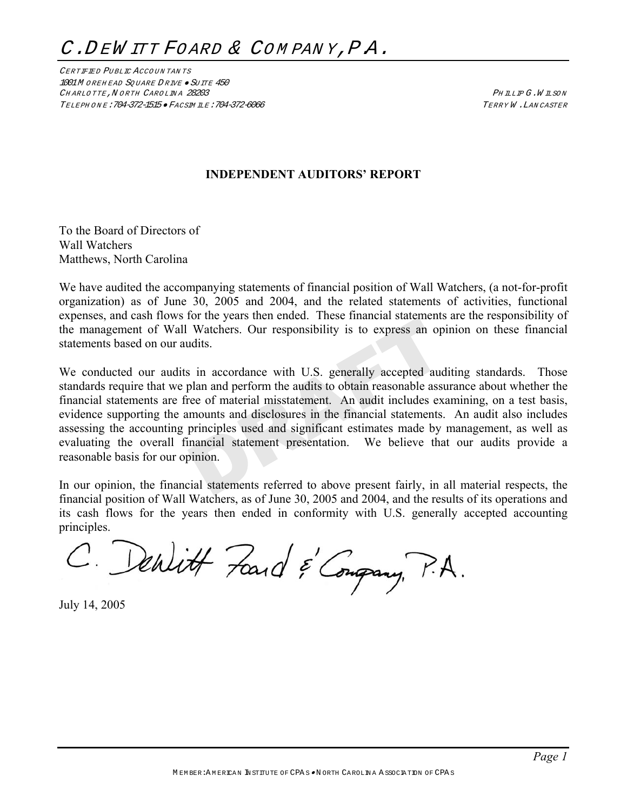CERTIFIED PU BLIC ACCO UN TAN TS 1001M OREHEAD SQUARE DRIVE · SUITE 450 CHARLOTTE, NORTH CAROLINA 28203 CHARLOTTE, NORTH CAROLINA 28203 TELEPH ON E:704-372-1515 • FACSIM ILE:704-372-6066 TERRY W .LAN CASTER

# **INDEPENDENT AUDITORS' REPORT**

To the Board of Directors of Wall Watchers Matthews, North Carolina

We have audited the accompanying statements of financial position of Wall Watchers, (a not-for-profit organization) as of June 30, 2005 and 2004, and the related statements of activities, functional expenses, and cash flows for the years then ended. These financial statements are the responsibility of the management of Wall Watchers. Our responsibility is to express an opinion on these financial statements based on our audits.

We conducted our audits in accordance with U.S. generally accepted auditing standards. Those standards require that we plan and perform the audits to obtain reasonable assurance about whether the financial statements are free of material misstatement. An audit includes examining, on a test basis, evidence supporting the amounts and disclosures in the financial statements. An audit also includes assessing the accounting principles used and significant estimates made by management, as well as evaluating the overall financial statement presentation. We believe that our audits provide a reasonable basis for our opinion.

In our opinion, the financial statements referred to above present fairly, in all material respects, the financial position of Wall Watchers, as of June 30, 2005 and 2004, and the results of its operations and its cash flows for the years then ended in conformity with U.S. generally accepted accounting principles.

C. Denlitt Fand & Congrany, P.A.

July 14, 2005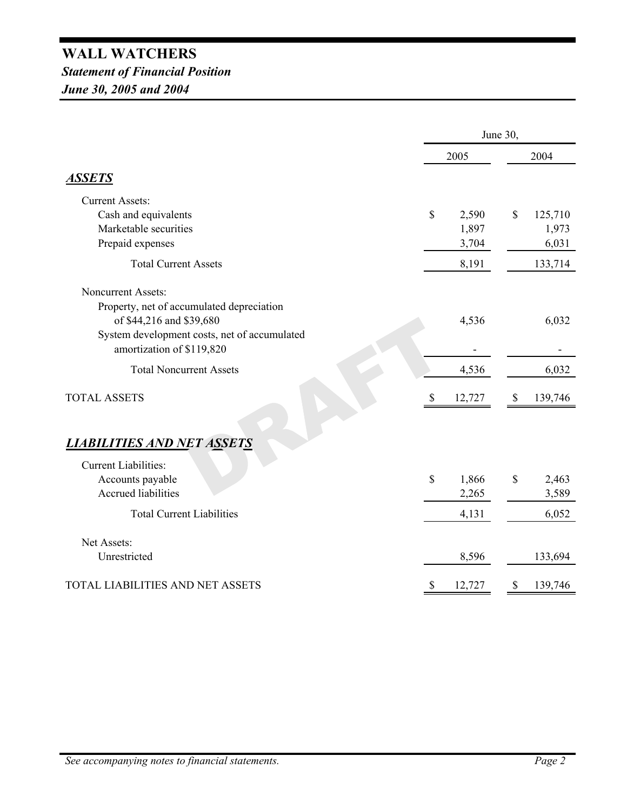# **WALL WATCHERS** *Statement of Financial Position June 30, 2005 and 2004*

|                                                                           |              | June 30, |                           |         |  |
|---------------------------------------------------------------------------|--------------|----------|---------------------------|---------|--|
|                                                                           |              | 2005     |                           | 2004    |  |
| <b>ASSETS</b>                                                             |              |          |                           |         |  |
| <b>Current Assets:</b>                                                    |              |          |                           |         |  |
| Cash and equivalents                                                      | $\mathbb{S}$ | 2,590    | \$                        | 125,710 |  |
| Marketable securities                                                     |              | 1,897    |                           | 1,973   |  |
| Prepaid expenses                                                          |              | 3,704    |                           | 6,031   |  |
| <b>Total Current Assets</b>                                               |              | 8,191    |                           | 133,714 |  |
| <b>Noncurrent Assets:</b><br>Property, net of accumulated depreciation    |              |          |                           |         |  |
| of \$44,216 and \$39,680                                                  |              | 4,536    |                           | 6,032   |  |
| System development costs, net of accumulated<br>amortization of \$119,820 |              |          |                           |         |  |
| <b>Total Noncurrent Assets</b>                                            |              | 4,536    |                           | 6,032   |  |
| <b>TOTAL ASSETS</b>                                                       | $\$$         | 12,727   | $\boldsymbol{\mathsf{S}}$ | 139,746 |  |
| <b>LIABILITIES AND NET ASSETS</b><br><b>Current Liabilities:</b>          |              |          |                           |         |  |
| Accounts payable                                                          | \$           | 1,866    | \$                        | 2,463   |  |
| <b>Accrued liabilities</b>                                                |              | 2,265    |                           | 3,589   |  |
| <b>Total Current Liabilities</b>                                          |              | 4,131    |                           | 6,052   |  |
| Net Assets:                                                               |              |          |                           |         |  |
| Unrestricted                                                              |              | 8,596    |                           | 133,694 |  |
| TOTAL LIABILITIES AND NET ASSETS                                          |              | 12,727   | \$                        | 139,746 |  |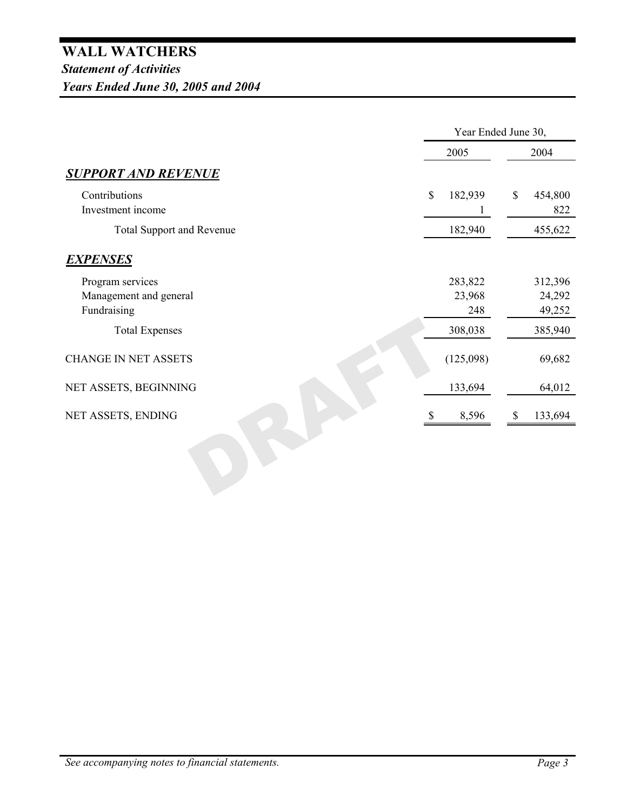|                                                           | Year Ended June 30, |                          |              |                             |  |
|-----------------------------------------------------------|---------------------|--------------------------|--------------|-----------------------------|--|
|                                                           | 2005                |                          |              | 2004                        |  |
| <b>SUPPORT AND REVENUE</b>                                |                     |                          |              |                             |  |
| Contributions<br>Investment income                        | \$                  | 182,939                  | $\mathbb{S}$ | 454,800<br>822              |  |
| <b>Total Support and Revenue</b>                          |                     | 182,940                  |              | 455,622                     |  |
| <b>EXPENSES</b>                                           |                     |                          |              |                             |  |
| Program services<br>Management and general<br>Fundraising |                     | 283,822<br>23,968<br>248 |              | 312,396<br>24,292<br>49,252 |  |
| <b>Total Expenses</b>                                     |                     | 308,038                  |              | 385,940                     |  |
| <b>CHANGE IN NET ASSETS</b>                               |                     | (125,098)                |              | 69,682                      |  |
| NET ASSETS, BEGINNING                                     |                     | 133,694                  |              | 64,012                      |  |
| NET ASSETS, ENDING                                        |                     | 8,596                    | \$           | 133,694                     |  |
|                                                           |                     |                          |              |                             |  |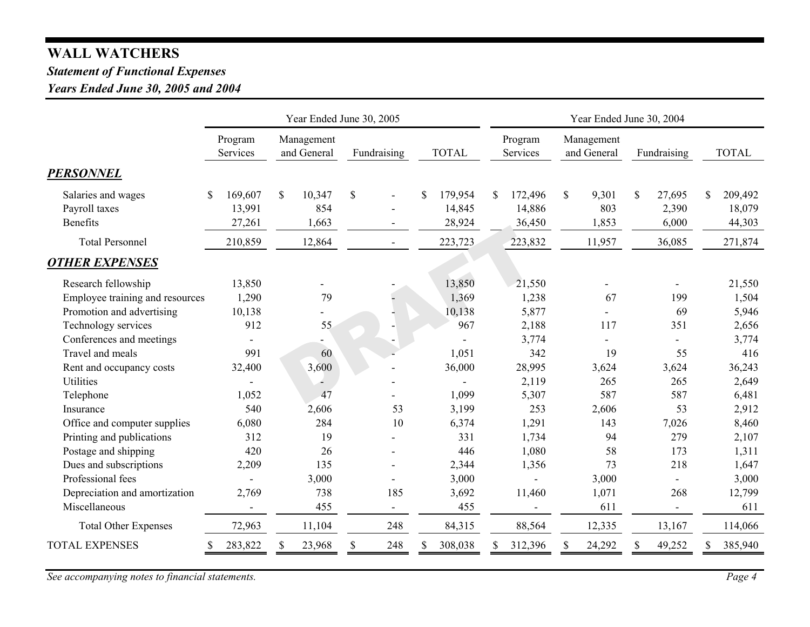# **WALL WATCHERS**

# *Statement of Functional Expenses*

*Years Ended June 30, 2005 and 2004*

|                                                        | Year Ended June 30, 2005         |                                        |                | Year Ended June 30, 2004          |                                   |                                        |                                |                                  |
|--------------------------------------------------------|----------------------------------|----------------------------------------|----------------|-----------------------------------|-----------------------------------|----------------------------------------|--------------------------------|----------------------------------|
|                                                        | Program<br>Services              | Management<br>and General              | Fundraising    | <b>TOTAL</b>                      | Program<br>Services               | Management<br>and General              | Fundraising                    | <b>TOTAL</b>                     |
| <b>PERSONNEL</b>                                       |                                  |                                        |                |                                   |                                   |                                        |                                |                                  |
| Salaries and wages<br>Payroll taxes<br><b>Benefits</b> | 169,607<br>S<br>13,991<br>27,261 | $\mathbb{S}$<br>10,347<br>854<br>1,663 | \$             | 179,954<br>\$<br>14,845<br>28,924 | 172,496<br>\$<br>14,886<br>36,450 | $\mathsf{\$}$<br>9,301<br>803<br>1,853 | \$<br>27,695<br>2,390<br>6,000 | 209,492<br>S<br>18,079<br>44,303 |
| <b>Total Personnel</b>                                 | 210,859                          | 12,864                                 | $\blacksquare$ | 223,723                           | 223,832                           | 11,957                                 | 36,085                         | 271,874                          |
| <b>OTHER EXPENSES</b>                                  |                                  |                                        |                |                                   |                                   |                                        |                                |                                  |
| Research fellowship                                    | 13,850                           |                                        |                | 13,850                            | 21,550                            |                                        |                                | 21,550                           |
| Employee training and resources                        | 1,290                            | 79                                     |                | 1,369                             | 1,238                             | 67                                     | 199                            | 1,504                            |
| Promotion and advertising                              | 10,138                           |                                        |                | 10,138                            | 5,877                             |                                        | 69                             | 5,946                            |
| Technology services                                    | 912                              | 55                                     |                | 967                               | 2,188                             | 117                                    | 351                            | 2,656                            |
| Conferences and meetings                               |                                  |                                        |                |                                   | 3,774                             |                                        |                                | 3,774                            |
| Travel and meals                                       | 991                              | 60                                     |                | 1,051                             | 342                               | 19                                     | 55                             | 416                              |
| Rent and occupancy costs                               | 32,400                           | 3,600                                  |                | 36,000                            | 28,995                            | 3,624                                  | 3,624                          | 36,243                           |
| Utilities                                              |                                  |                                        |                |                                   | 2,119                             | 265                                    | 265                            | 2,649                            |
| Telephone                                              | 1,052                            | 47                                     |                | 1,099                             | 5,307                             | 587                                    | 587                            | 6,481                            |
| Insurance                                              | 540                              | 2,606                                  | 53             | 3,199                             | 253                               | 2,606                                  | 53                             | 2,912                            |
| Office and computer supplies                           | 6,080                            | 284                                    | 10             | 6,374                             | 1,291                             | 143                                    | 7,026                          | 8,460                            |
| Printing and publications                              | 312                              | 19                                     |                | 331                               | 1,734                             | 94                                     | 279                            | 2,107                            |
| Postage and shipping                                   | 420                              | 26                                     |                | 446                               | 1,080                             | 58                                     | 173                            | 1,311                            |
| Dues and subscriptions                                 | 2,209                            | 135                                    |                | 2,344                             | 1,356                             | 73                                     | 218                            | 1,647                            |
| Professional fees                                      |                                  | 3,000                                  |                | 3,000                             |                                   | 3,000                                  |                                | 3,000                            |
| Depreciation and amortization                          | 2,769                            | 738                                    | 185            | 3,692                             | 11,460                            | 1,071                                  | 268                            | 12,799                           |
| Miscellaneous                                          | $\blacksquare$                   | 455                                    | $\sim$         | 455                               |                                   | 611                                    | $\overline{\phantom{a}}$       | 611                              |
| <b>Total Other Expenses</b>                            | 72,963                           | 11,104                                 | 248            | 84,315                            | 88,564                            | 12,335                                 | 13,167                         | 114,066                          |
| <b>TOTAL EXPENSES</b>                                  | 283,822                          | 23,968<br>S                            | \$<br>248      | 308,038                           | 312,396                           | \$<br>24,292                           | 49,252                         | 385,940<br>S                     |

*See accompanying notes to financial statements. Page 4*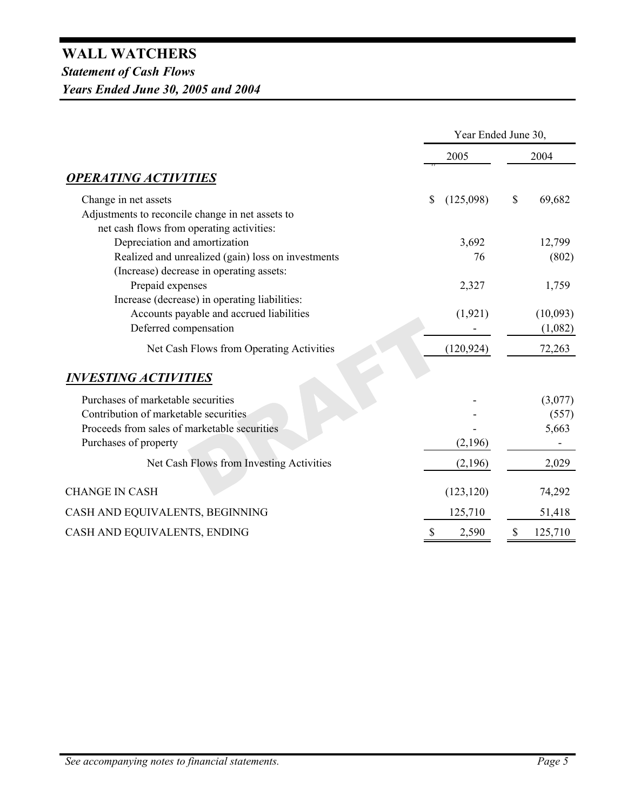|                                                                                               |                 | Year Ended June 30,     |  |  |
|-----------------------------------------------------------------------------------------------|-----------------|-------------------------|--|--|
|                                                                                               | 2005            |                         |  |  |
| <b>OPERATING ACTIVITIES</b>                                                                   |                 |                         |  |  |
| Change in net assets                                                                          | \$<br>(125,098) | $\mathbb{S}$<br>69,682  |  |  |
| Adjustments to reconcile change in net assets to<br>net cash flows from operating activities: |                 |                         |  |  |
| Depreciation and amortization                                                                 | 3,692           | 12,799                  |  |  |
| Realized and unrealized (gain) loss on investments                                            | 76              | (802)                   |  |  |
| (Increase) decrease in operating assets:                                                      |                 |                         |  |  |
| Prepaid expenses                                                                              | 2,327           | 1,759                   |  |  |
| Increase (decrease) in operating liabilities:                                                 |                 |                         |  |  |
| Accounts payable and accrued liabilities                                                      | (1, 921)        | (10,093)                |  |  |
| Deferred compensation                                                                         |                 | (1,082)                 |  |  |
| Net Cash Flows from Operating Activities                                                      | (120, 924)      | 72,263                  |  |  |
| <b>INVESTING ACTIVITIES</b>                                                                   |                 |                         |  |  |
| Purchases of marketable securities                                                            |                 | (3,077)                 |  |  |
| Contribution of marketable securities                                                         |                 | (557)                   |  |  |
| Proceeds from sales of marketable securities                                                  |                 | 5,663                   |  |  |
| Purchases of property                                                                         | (2,196)         |                         |  |  |
| Net Cash Flows from Investing Activities                                                      | (2,196)         | 2,029                   |  |  |
| <b>CHANGE IN CASH</b>                                                                         | (123, 120)      | 74,292                  |  |  |
| CASH AND EQUIVALENTS, BEGINNING                                                               | 125,710         | 51,418                  |  |  |
| CASH AND EQUIVALENTS, ENDING                                                                  | \$<br>2,590     | $\mathbb{S}$<br>125,710 |  |  |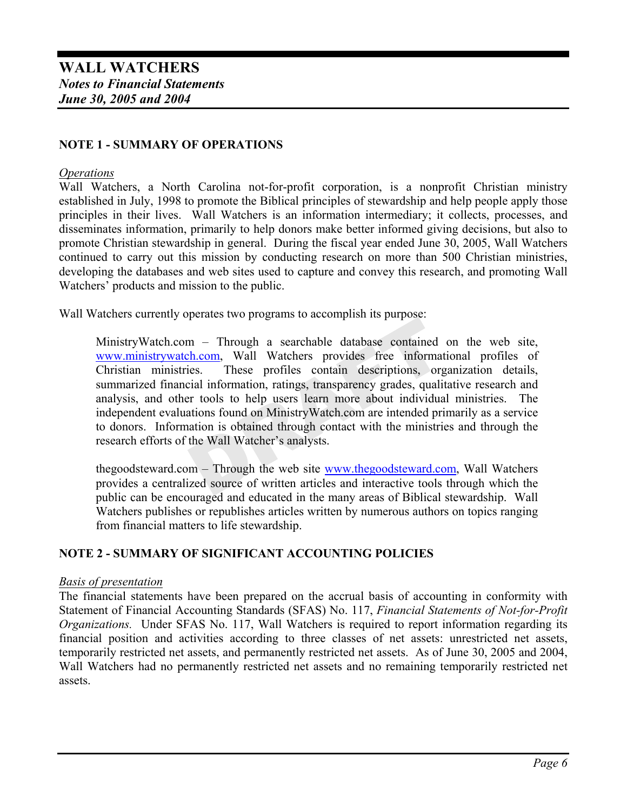# **NOTE 1 - SUMMARY OF OPERATIONS**

### *Operations*

Wall Watchers, a North Carolina not-for-profit corporation, is a nonprofit Christian ministry established in July, 1998 to promote the Biblical principles of stewardship and help people apply those principles in their lives. Wall Watchers is an information intermediary; it collects, processes, and disseminates information, primarily to help donors make better informed giving decisions, but also to promote Christian stewardship in general. During the fiscal year ended June 30, 2005, Wall Watchers continued to carry out this mission by conducting research on more than 500 Christian ministries, developing the databases and web sites used to capture and convey this research, and promoting Wall Watchers' products and mission to the public.

Wall Watchers currently operates two programs to accomplish its purpose:

MinistryWatch.com – Through a searchable database contained on the web site, www.ministrywatch.com, Wall Watchers provides free informational profiles of Christian ministries. These profiles contain descriptions, organization details, summarized financial information, ratings, transparency grades, qualitative research and analysis, and other tools to help users learn more about individual ministries. The independent evaluations found on MinistryWatch.com are intended primarily as a service to donors. Information is obtained through contact with the ministries and through the research efforts of the Wall Watcher's analysts.

thegoodsteward.com – Through the web site www.thegoodsteward.com, Wall Watchers provides a centralized source of written articles and interactive tools through which the public can be encouraged and educated in the many areas of Biblical stewardship. Wall Watchers publishes or republishes articles written by numerous authors on topics ranging from financial matters to life stewardship.

# **NOTE 2 - SUMMARY OF SIGNIFICANT ACCOUNTING POLICIES**

# *Basis of presentation*

The financial statements have been prepared on the accrual basis of accounting in conformity with Statement of Financial Accounting Standards (SFAS) No. 117, *Financial Statements of Not-for-Profit Organizations.* Under SFAS No. 117, Wall Watchers is required to report information regarding its financial position and activities according to three classes of net assets: unrestricted net assets, temporarily restricted net assets, and permanently restricted net assets. As of June 30, 2005 and 2004, Wall Watchers had no permanently restricted net assets and no remaining temporarily restricted net assets.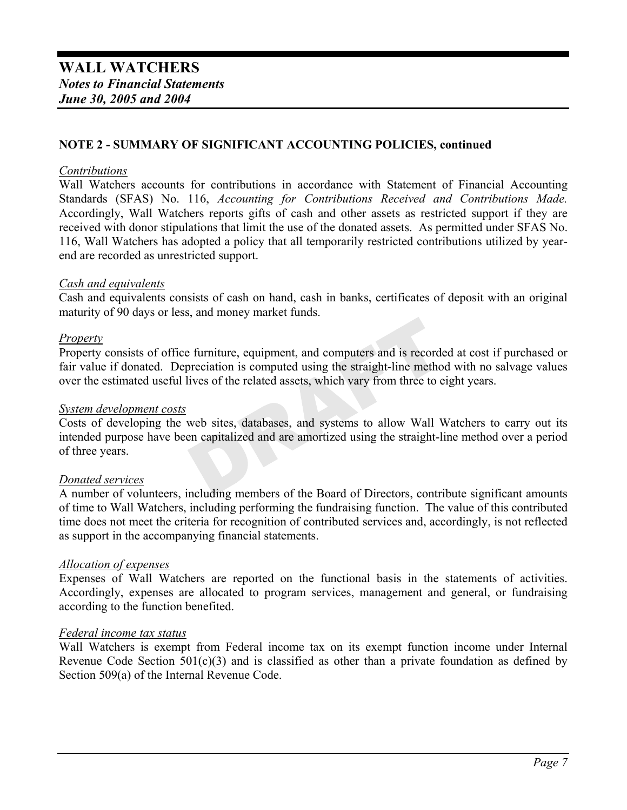# **NOTE 2 - SUMMARY OF SIGNIFICANT ACCOUNTING POLICIES, continued**

### *Contributions*

Wall Watchers accounts for contributions in accordance with Statement of Financial Accounting Standards (SFAS) No. 116, *Accounting for Contributions Received and Contributions Made.* Accordingly, Wall Watchers reports gifts of cash and other assets as restricted support if they are received with donor stipulations that limit the use of the donated assets. As permitted under SFAS No. 116, Wall Watchers has adopted a policy that all temporarily restricted contributions utilized by yearend are recorded as unrestricted support.

# *Cash and equivalents*

Cash and equivalents consists of cash on hand, cash in banks, certificates of deposit with an original maturity of 90 days or less, and money market funds.

# *Property*

Property consists of office furniture, equipment, and computers and is recorded at cost if purchased or fair value if donated. Depreciation is computed using the straight-line method with no salvage values over the estimated useful lives of the related assets, which vary from three to eight years.

#### *System development costs*

Costs of developing the web sites, databases, and systems to allow Wall Watchers to carry out its intended purpose have been capitalized and are amortized using the straight-line method over a period of three years.

# *Donated services*

A number of volunteers, including members of the Board of Directors, contribute significant amounts of time to Wall Watchers, including performing the fundraising function. The value of this contributed time does not meet the criteria for recognition of contributed services and, accordingly, is not reflected as support in the accompanying financial statements.

#### *Allocation of expenses*

Expenses of Wall Watchers are reported on the functional basis in the statements of activities. Accordingly, expenses are allocated to program services, management and general, or fundraising according to the function benefited.

### *Federal income tax status*

Wall Watchers is exempt from Federal income tax on its exempt function income under Internal Revenue Code Section  $501(c)(3)$  and is classified as other than a private foundation as defined by Section 509(a) of the Internal Revenue Code.